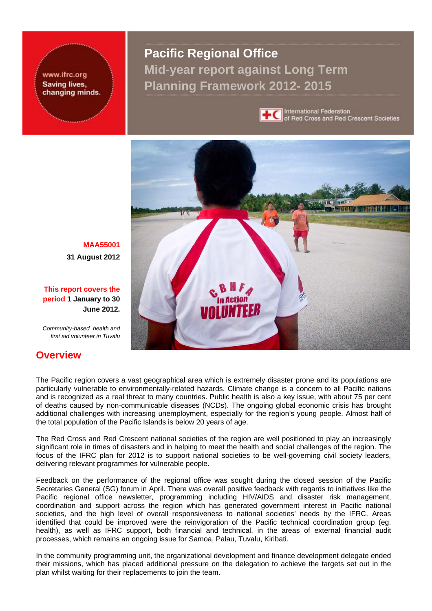www.ifrc.org **Saving lives,** changing minds. **Pacific Regional Office Mid-year report against Long Term Planning Framework 2012- 2015** 



**International Federation** of Red Cross and Red Crescent Societies



**MAA55001 31 August 2012**

**This report covers the period 1 January to 30 June 2012.**

*Community-based health and first aid volunteer in Tuvalu*

# **Overview**

The Pacific region covers a vast geographical area which is extremely disaster prone and its populations are particularly vulnerable to environmentally-related hazards. Climate change is a concern to all Pacific nations and is recognized as a real threat to many countries. Public health is also a key issue, with about 75 per cent of deaths caused by non-communicable diseases (NCDs). The ongoing global economic crisis has brought additional challenges with increasing unemployment, especially for the region's young people. Almost half of the total population of the Pacific Islands is below 20 years of age.

The Red Cross and Red Crescent national societies of the region are well positioned to play an increasingly significant role in times of disasters and in helping to meet the health and social challenges of the region. The focus of the IFRC plan for 2012 is to support national societies to be well-governing civil society leaders, delivering relevant programmes for vulnerable people.

Feedback on the performance of the regional office was sought during the closed session of the Pacific Secretaries General (SG) forum in April. There was overall positive feedback with regards to initiatives like the Pacific regional office newsletter, programming including HIV/AIDS and disaster risk management, coordination and support across the region which has generated government interest in Pacific national societies, and the high level of overall responsiveness to national societies' needs by the IFRC. Areas identified that could be improved were the reinvigoration of the Pacific technical coordination group (eg. health), as well as IFRC support, both financial and technical, in the areas of external financial audit processes, which remains an ongoing issue for Samoa, Palau, Tuvalu, Kiribati.

In the community programming unit, the organizational development and finance development delegate ended their missions, which has placed additional pressure on the delegation to achieve the targets set out in the plan whilst waiting for their replacements to join the team.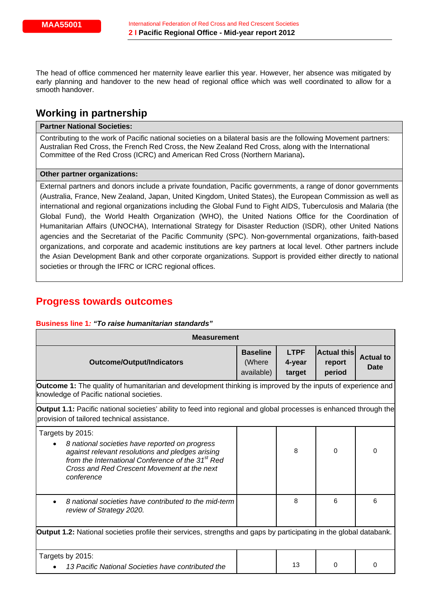The head of office commenced her maternity leave earlier this year. However, her absence was mitigated by early planning and handover to the new head of regional office which was well coordinated to allow for a smooth handover.

# **Working in partnership**

## **Partner National Societies:**

Contributing to the work of Pacific national societies on a bilateral basis are the following Movement partners: Australian Red Cross, the French Red Cross, the New Zealand Red Cross, along with the International Committee of the Red Cross (ICRC) and American Red Cross (Northern Mariana)**.** 

#### **Other partner organizations:**

External partners and donors include a private foundation, Pacific governments, a range of donor governments (Australia, France, New Zealand, Japan, United Kingdom, United States), the European Commission as well as international and regional organizations including the Global Fund to Fight AIDS, Tuberculosis and Malaria (the Global Fund), the World Health Organization (WHO), the United Nations Office for the Coordination of Humanitarian Affairs (UNOCHA), International Strategy for Disaster Reduction (ISDR), other United Nations agencies and the Secretariat of the Pacific Community (SPC). Non-governmental organizations, faith-based organizations, and corporate and academic institutions are key partners at local level. Other partners include the Asian Development Bank and other corporate organizations. Support is provided either directly to national societies or through the IFRC or ICRC regional offices.

# **Progress towards outcomes**

#### **Business line 1***: "To raise humanitarian standards"*

| <b>Measurement</b>                                                                                                                                                                                                                                   |                                         |                                 |                                        |                          |  |
|------------------------------------------------------------------------------------------------------------------------------------------------------------------------------------------------------------------------------------------------------|-----------------------------------------|---------------------------------|----------------------------------------|--------------------------|--|
| <b>Outcome/Output/Indicators</b>                                                                                                                                                                                                                     | <b>Baseline</b><br>(Where<br>available) | <b>LTPF</b><br>4-year<br>target | <b>Actual this</b><br>report<br>period | <b>Actual to</b><br>Date |  |
| <b>Outcome 1:</b> The quality of humanitarian and development thinking is improved by the inputs of experience and<br>knowledge of Pacific national societies.                                                                                       |                                         |                                 |                                        |                          |  |
| <b>Output 1.1:</b> Pacific national societies' ability to feed into regional and global processes is enhanced through the<br>provision of tailored technical assistance.                                                                             |                                         |                                 |                                        |                          |  |
| Targets by 2015:<br>8 national societies have reported on progress<br>against relevant resolutions and pledges arising<br>from the International Conference of the 31 <sup>st</sup> Red<br>Cross and Red Crescent Movement at the next<br>conference |                                         | 8                               | 0                                      | 0                        |  |
| 8 national societies have contributed to the mid-term<br>review of Strategy 2020.                                                                                                                                                                    |                                         | 8                               | 6                                      | 6                        |  |
| Output 1.2: National societies profile their services, strengths and gaps by participating in the global databank.                                                                                                                                   |                                         |                                 |                                        |                          |  |
| Targets by 2015:<br>13 Pacific National Societies have contributed the                                                                                                                                                                               |                                         | 13                              | 0                                      | 0                        |  |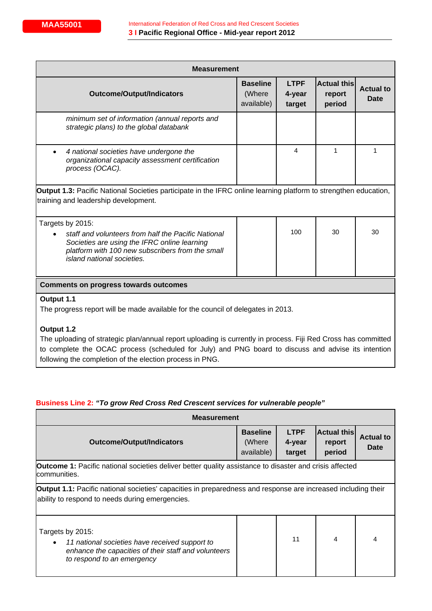| <b>Measurement</b>                                                                                                                                                                                                                                                                             |                                         |                                 |                                        |                                 |  |
|------------------------------------------------------------------------------------------------------------------------------------------------------------------------------------------------------------------------------------------------------------------------------------------------|-----------------------------------------|---------------------------------|----------------------------------------|---------------------------------|--|
| <b>Outcome/Output/Indicators</b>                                                                                                                                                                                                                                                               | <b>Baseline</b><br>(Where<br>available) | <b>LTPF</b><br>4-year<br>target | <b>Actual this</b><br>report<br>period | <b>Actual to</b><br><b>Date</b> |  |
| minimum set of information (annual reports and<br>strategic plans) to the global databank                                                                                                                                                                                                      |                                         |                                 |                                        |                                 |  |
| 4 national societies have undergone the<br>$\bullet$<br>organizational capacity assessment certification<br>process (OCAC).                                                                                                                                                                    |                                         | 4                               | 1                                      | 1                               |  |
| Output 1.3: Pacific National Societies participate in the IFRC online learning platform to strengthen education,<br>training and leadership development.                                                                                                                                       |                                         |                                 |                                        |                                 |  |
| Targets by 2015:<br>staff and volunteers from half the Pacific National<br>Societies are using the IFRC online learning<br>platform with 100 new subscribers from the small<br>island national societies.                                                                                      |                                         | 100                             | 30                                     | 30                              |  |
| <b>Comments on progress towards outcomes</b>                                                                                                                                                                                                                                                   |                                         |                                 |                                        |                                 |  |
| Output 1.1<br>The progress report will be made available for the council of delegates in 2013.                                                                                                                                                                                                 |                                         |                                 |                                        |                                 |  |
| Output 1.2<br>The uploading of strategic plan/annual report uploading is currently in process. Fiji Red Cross has committed<br>to complete the OCAC process (scheduled for July) and PNG board to discuss and advise its intention<br>following the completion of the election process in PNG. |                                         |                                 |                                        |                                 |  |

# **Business Line 2:** *"To grow Red Cross Red Crescent services for vulnerable people"*

| <b>Measurement</b>                                                                                                                                                      |                                         |                                 |                                        |                          |  |
|-------------------------------------------------------------------------------------------------------------------------------------------------------------------------|-----------------------------------------|---------------------------------|----------------------------------------|--------------------------|--|
| <b>Outcome/Output/Indicators</b>                                                                                                                                        | <b>Baseline</b><br>(Where<br>available) | <b>LTPF</b><br>4-year<br>target | <b>Actual this</b><br>report<br>period | <b>Actual to</b><br>Date |  |
| <b>Outcome 1:</b> Pacific national societies deliver better quality assistance to disaster and crisis affected<br>communities.                                          |                                         |                                 |                                        |                          |  |
| <b>Output 1.1:</b> Pacific national societies' capacities in preparedness and response are increased including their<br>ability to respond to needs during emergencies. |                                         |                                 |                                        |                          |  |
| Targets by 2015:<br>11 national societies have received support to<br>enhance the capacities of their staff and volunteers<br>to respond to an emergency                |                                         | 11                              | 4                                      | 4                        |  |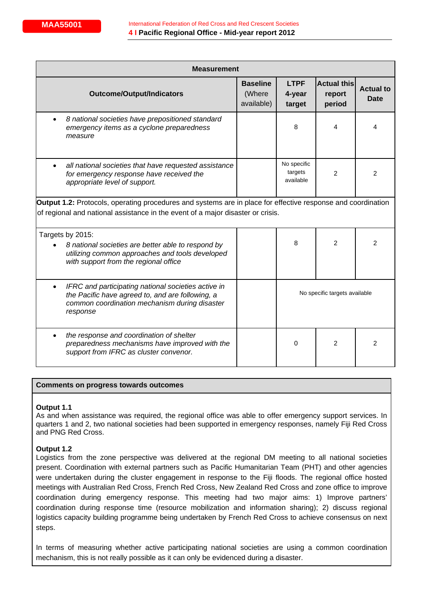| <b>Measurement</b>                                                                                                                                                                                     |                                         |                                     |                                        |                                 |  |  |
|--------------------------------------------------------------------------------------------------------------------------------------------------------------------------------------------------------|-----------------------------------------|-------------------------------------|----------------------------------------|---------------------------------|--|--|
| <b>Outcome/Output/Indicators</b>                                                                                                                                                                       | <b>Baseline</b><br>(Where<br>available) | <b>LTPF</b><br>4-year<br>target     | <b>Actual this</b><br>report<br>period | <b>Actual to</b><br><b>Date</b> |  |  |
| 8 national societies have prepositioned standard<br>emergency items as a cyclone preparedness<br>measure                                                                                               |                                         | 8                                   | 4                                      | 4                               |  |  |
| all national societies that have requested assistance<br>for emergency response have received the<br>appropriate level of support.                                                                     |                                         | No specific<br>targets<br>available | $\overline{2}$                         | 2                               |  |  |
| <b>Output 1.2:</b> Protocols, operating procedures and systems are in place for effective response and coordination<br>of regional and national assistance in the event of a major disaster or crisis. |                                         |                                     |                                        |                                 |  |  |
| Targets by 2015:<br>8 national societies are better able to respond by<br>utilizing common approaches and tools developed<br>with support from the regional office                                     |                                         | 8                                   | $\overline{2}$                         | $\overline{2}$                  |  |  |
| IFRC and participating national societies active in<br>the Pacific have agreed to, and are following, a<br>common coordination mechanism during disaster<br>response                                   |                                         | No specific targets available       |                                        |                                 |  |  |
| the response and coordination of shelter<br>preparedness mechanisms have improved with the<br>support from IFRC as cluster convenor.                                                                   |                                         | 0                                   | 2                                      | 2                               |  |  |

### **Comments on progress towards outcomes**

#### **Output 1.1**

As and when assistance was required, the regional office was able to offer emergency support services. In quarters 1 and 2, two national societies had been supported in emergency responses, namely Fiji Red Cross and PNG Red Cross.

### **Output 1.2**

Logistics from the zone perspective was delivered at the regional DM meeting to all national societies present. Coordination with external partners such as Pacific Humanitarian Team (PHT) and other agencies were undertaken during the cluster engagement in response to the Fiji floods. The regional office hosted meetings with Australian Red Cross, French Red Cross, New Zealand Red Cross and zone office to improve coordination during emergency response. This meeting had two major aims: 1) Improve partners' coordination during response time (resource mobilization and information sharing); 2) discuss regional logistics capacity building programme being undertaken by French Red Cross to achieve consensus on next steps.

In terms of measuring whether active participating national societies are using a common coordination mechanism, this is not really possible as it can only be evidenced during a disaster.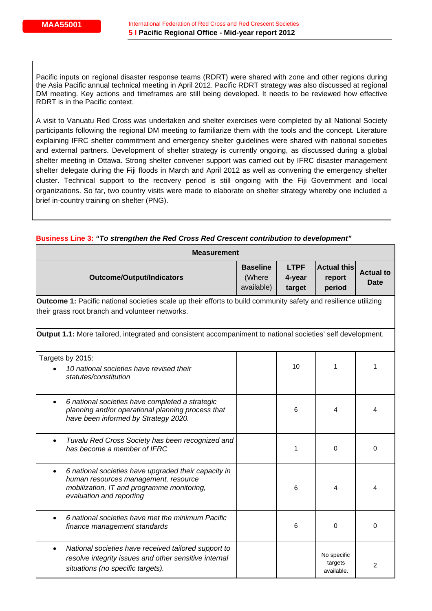Pacific inputs on regional disaster response teams (RDRT) were shared with zone and other regions during the Asia Pacific annual technical meeting in April 2012. Pacific RDRT strategy was also discussed at regional DM meeting. Key actions and timeframes are still being developed. It needs to be reviewed how effective RDRT is in the Pacific context.

A visit to Vanuatu Red Cross was undertaken and shelter exercises were completed by all National Society participants following the regional DM meeting to familiarize them with the tools and the concept. Literature explaining IFRC shelter commitment and emergency shelter guidelines were shared with national societies and external partners. Development of shelter strategy is currently ongoing, as discussed during a global shelter meeting in Ottawa. Strong shelter convener support was carried out by IFRC disaster management shelter delegate during the Fiji floods in March and April 2012 as well as convening the emergency shelter cluster. Technical support to the recovery period is still ongoing with the Fiji Government and local organizations. So far, two country visits were made to elaborate on shelter strategy whereby one included a brief in-country training on shelter (PNG).

| <b>Measurement</b>                                                                                                                                                                  |                                         |                                 |                                        |                                 |  |  |
|-------------------------------------------------------------------------------------------------------------------------------------------------------------------------------------|-----------------------------------------|---------------------------------|----------------------------------------|---------------------------------|--|--|
| <b>Outcome/Output/Indicators</b>                                                                                                                                                    | <b>Baseline</b><br>(Where<br>available) | <b>LTPF</b><br>4-year<br>target | <b>Actual this</b><br>report<br>period | <b>Actual to</b><br><b>Date</b> |  |  |
| <b>Outcome 1:</b> Pacific national societies scale up their efforts to build community safety and resilience utilizing<br>their grass root branch and volunteer networks.           |                                         |                                 |                                        |                                 |  |  |
| Output 1.1: More tailored, integrated and consistent accompaniment to national societies' self development.                                                                         |                                         |                                 |                                        |                                 |  |  |
| Targets by 2015:<br>10 national societies have revised their<br>statutes/constitution                                                                                               |                                         | 10                              | 1                                      | 1                               |  |  |
| 6 national societies have completed a strategic<br>$\bullet$<br>planning and/or operational planning process that<br>have been informed by Strategy 2020.                           |                                         | 6                               | 4                                      | 4                               |  |  |
| Tuvalu Red Cross Society has been recognized and<br>has become a member of IFRC                                                                                                     |                                         | 1                               | $\Omega$                               | $\Omega$                        |  |  |
| 6 national societies have upgraded their capacity in<br>$\bullet$<br>human resources management, resource<br>mobilization, IT and programme monitoring,<br>evaluation and reporting |                                         | 6                               | 4                                      | 4                               |  |  |
| 6 national societies have met the minimum Pacific<br>finance management standards                                                                                                   |                                         | 6                               | $\Omega$                               | 0                               |  |  |
| National societies have received tailored support to<br>$\bullet$<br>resolve integrity issues and other sensitive internal<br>situations (no specific targets).                     |                                         |                                 | No specific<br>targets<br>available.   | 2                               |  |  |

### **Business Line 3:** *"To strengthen the Red Cross Red Crescent contribution to development"*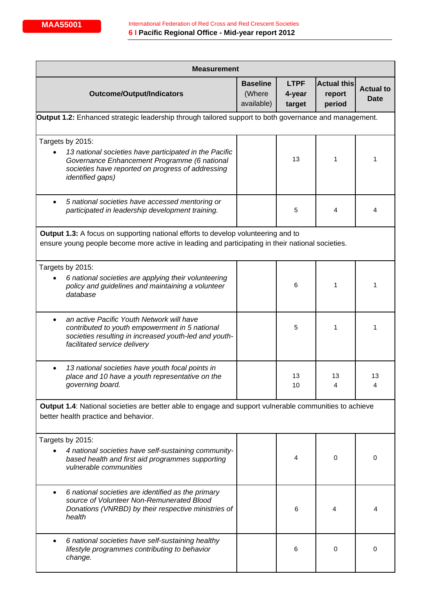| <b>Measurement</b>                                                                                                                                                                                         |                                         |                                 |                                        |                                 |  |
|------------------------------------------------------------------------------------------------------------------------------------------------------------------------------------------------------------|-----------------------------------------|---------------------------------|----------------------------------------|---------------------------------|--|
| <b>Outcome/Output/Indicators</b>                                                                                                                                                                           | <b>Baseline</b><br>(Where<br>available) | <b>LTPF</b><br>4-year<br>target | <b>Actual this</b><br>report<br>period | <b>Actual to</b><br><b>Date</b> |  |
| Output 1.2: Enhanced strategic leadership through tailored support to both governance and management.                                                                                                      |                                         |                                 |                                        |                                 |  |
| Targets by 2015:<br>13 national societies have participated in the Pacific<br>Governance Enhancement Programme (6 national<br>societies have reported on progress of addressing<br><i>identified gaps)</i> |                                         | 13                              | 1                                      | 1                               |  |
| 5 national societies have accessed mentoring or<br>participated in leadership development training.                                                                                                        |                                         | 5                               | 4                                      | 4                               |  |
| <b>Output 1.3:</b> A focus on supporting national efforts to develop volunteering and to<br>ensure young people become more active in leading and participating in their national societies.               |                                         |                                 |                                        |                                 |  |
| Targets by 2015:<br>6 national societies are applying their volunteering<br>policy and guidelines and maintaining a volunteer<br>database                                                                  |                                         | 6                               | 1                                      | 1                               |  |
| an active Pacific Youth Network will have<br>$\bullet$<br>contributed to youth empowerment in 5 national<br>societies resulting in increased youth-led and youth-<br>facilitated service delivery          |                                         | 5                               | 1                                      | 1                               |  |
| 13 national societies have youth focal points in<br>place and 10 have a youth representative on the<br>governing board.                                                                                    |                                         | 13<br>10                        | 13<br>4                                | 13<br>4                         |  |
| Output 1.4: National societies are better able to engage and support vulnerable communities to achieve<br>better health practice and behavior.                                                             |                                         |                                 |                                        |                                 |  |
| Targets by 2015:<br>4 national societies have self-sustaining community-<br>based health and first aid programmes supporting<br>vulnerable communities                                                     |                                         | 4                               | 0                                      | 0                               |  |
| 6 national societies are identified as the primary<br>source of Volunteer Non-Remunerated Blood<br>Donations (VNRBD) by their respective ministries of<br>health                                           |                                         | 6                               | 4                                      | 4                               |  |
| 6 national societies have self-sustaining healthy<br>٠<br>lifestyle programmes contributing to behavior<br>change.                                                                                         |                                         | 6                               | 0                                      | 0                               |  |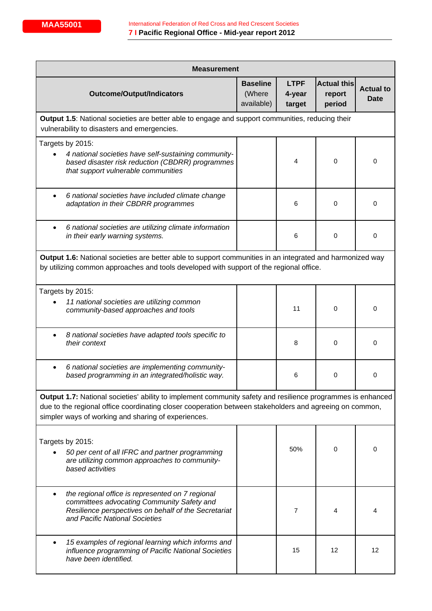| <b>Measurement</b>                                                                                                                                                                                                                                                            |                                         |                                 |                                        |                          |  |  |
|-------------------------------------------------------------------------------------------------------------------------------------------------------------------------------------------------------------------------------------------------------------------------------|-----------------------------------------|---------------------------------|----------------------------------------|--------------------------|--|--|
| <b>Outcome/Output/Indicators</b>                                                                                                                                                                                                                                              | <b>Baseline</b><br>(Where<br>available) | <b>LTPF</b><br>4-year<br>target | <b>Actual this</b><br>report<br>period | <b>Actual to</b><br>Date |  |  |
| <b>Output 1.5:</b> National societies are better able to engage and support communities, reducing their<br>vulnerability to disasters and emergencies.                                                                                                                        |                                         |                                 |                                        |                          |  |  |
| Targets by 2015:<br>4 national societies have self-sustaining community-<br>based disaster risk reduction (CBDRR) programmes<br>that support vulnerable communities                                                                                                           |                                         | 4                               | 0                                      | 0                        |  |  |
| 6 national societies have included climate change<br>adaptation in their CBDRR programmes                                                                                                                                                                                     |                                         | 6                               | 0                                      | 0                        |  |  |
| 6 national societies are utilizing climate information<br>$\bullet$<br>in their early warning systems.                                                                                                                                                                        |                                         | 6                               | 0                                      | 0                        |  |  |
| Output 1.6: National societies are better able to support communities in an integrated and harmonized way<br>by utilizing common approaches and tools developed with support of the regional office.                                                                          |                                         |                                 |                                        |                          |  |  |
| Targets by 2015:<br>11 national societies are utilizing common<br>community-based approaches and tools                                                                                                                                                                        |                                         | 11                              | 0                                      | 0                        |  |  |
| 8 national societies have adapted tools specific to<br>their context                                                                                                                                                                                                          |                                         | 8                               | 0                                      | 0                        |  |  |
| 6 national societies are implementing community-<br>$\bullet$<br>based programming in an integrated/holistic way.                                                                                                                                                             |                                         | 6                               | 0                                      | 0                        |  |  |
| Output 1.7: National societies' ability to implement community safety and resilience programmes is enhanced<br>due to the regional office coordinating closer cooperation between stakeholders and agreeing on common,<br>simpler ways of working and sharing of experiences. |                                         |                                 |                                        |                          |  |  |
| Targets by 2015:<br>50 per cent of all IFRC and partner programming<br>are utilizing common approaches to community-<br>based activities                                                                                                                                      |                                         | 50%                             | 0                                      | 0                        |  |  |
| the regional office is represented on 7 regional<br>$\bullet$<br>committees advocating Community Safety and<br>Resilience perspectives on behalf of the Secretariat<br>and Pacific National Societies                                                                         |                                         | $\overline{7}$                  | 4                                      | 4                        |  |  |
| 15 examples of regional learning which informs and<br>$\bullet$<br>influence programming of Pacific National Societies<br>have been identified.                                                                                                                               |                                         | 15                              | 12                                     | 12                       |  |  |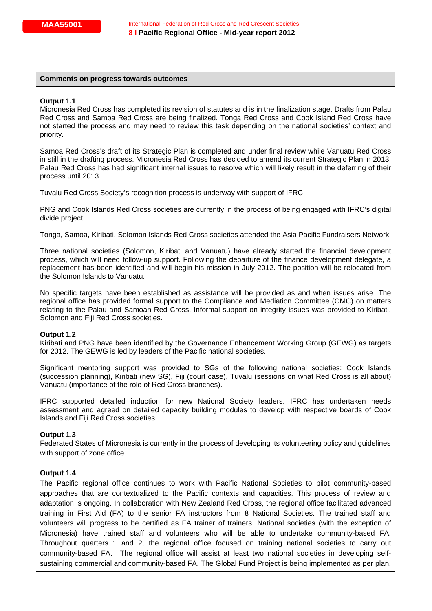#### **Comments on progress towards outcomes**

#### **Output 1.1**

Micronesia Red Cross has completed its revision of statutes and is in the finalization stage. Drafts from Palau Red Cross and Samoa Red Cross are being finalized. Tonga Red Cross and Cook Island Red Cross have not started the process and may need to review this task depending on the national societies' context and priority.

Samoa Red Cross's draft of its Strategic Plan is completed and under final review while Vanuatu Red Cross in still in the drafting process. Micronesia Red Cross has decided to amend its current Strategic Plan in 2013. Palau Red Cross has had significant internal issues to resolve which will likely result in the deferring of their process until 2013.

Tuvalu Red Cross Society's recognition process is underway with support of IFRC.

PNG and Cook Islands Red Cross societies are currently in the process of being engaged with IFRC's digital divide project.

Tonga, Samoa, Kiribati, Solomon Islands Red Cross societies attended the Asia Pacific Fundraisers Network.

Three national societies (Solomon, Kiribati and Vanuatu) have already started the financial development process, which will need follow-up support. Following the departure of the finance development delegate, a replacement has been identified and will begin his mission in July 2012. The position will be relocated from the Solomon Islands to Vanuatu.

No specific targets have been established as assistance will be provided as and when issues arise. The regional office has provided formal support to the Compliance and Mediation Committee (CMC) on matters relating to the Palau and Samoan Red Cross. Informal support on integrity issues was provided to Kiribati, Solomon and Fiji Red Cross societies.

#### **Output 1.2**

Kiribati and PNG have been identified by the Governance Enhancement Working Group (GEWG) as targets for 2012. The GEWG is led by leaders of the Pacific national societies.

Significant mentoring support was provided to SGs of the following national societies: Cook Islands (succession planning), Kiribati (new SG), Fiji (court case), Tuvalu (sessions on what Red Cross is all about) Vanuatu (importance of the role of Red Cross branches).

IFRC supported detailed induction for new National Society leaders. IFRC has undertaken needs assessment and agreed on detailed capacity building modules to develop with respective boards of Cook Islands and Fiji Red Cross societies.

#### **Output 1.3**

Federated States of Micronesia is currently in the process of developing its volunteering policy and guidelines with support of zone office.

#### **Output 1.4**

The Pacific regional office continues to work with Pacific National Societies to pilot community-based approaches that are contextualized to the Pacific contexts and capacities. This process of review and adaptation is ongoing. In collaboration with New Zealand Red Cross, the regional office facilitated advanced training in First Aid (FA) to the senior FA instructors from 8 National Societies. The trained staff and volunteers will progress to be certified as FA trainer of trainers. National societies (with the exception of Micronesia) have trained staff and volunteers who will be able to undertake community-based FA. Throughout quarters 1 and 2, the regional office focused on training national societies to carry out community-based FA. The regional office will assist at least two national societies in developing selfsustaining commercial and community-based FA. The Global Fund Project is being implemented as per plan.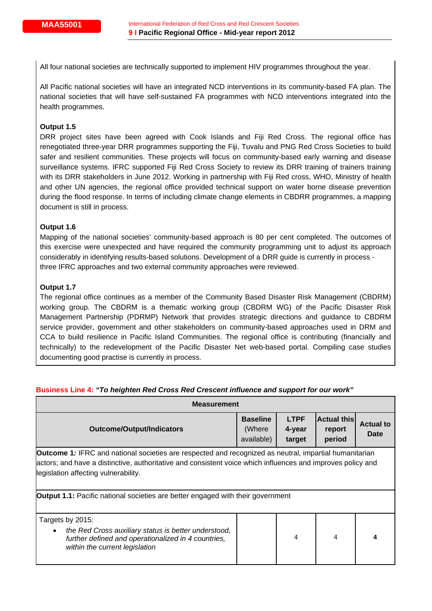All four national societies are technically supported to implement HIV programmes throughout the year.

All Pacific national societies will have an integrated NCD interventions in its community-based FA plan. The national societies that will have self-sustained FA programmes with NCD interventions integrated into the health programmes.

## **Output 1.5**

DRR project sites have been agreed with Cook Islands and Fiji Red Cross. The regional office has renegotiated three-year DRR programmes supporting the Fiji, Tuvalu and PNG Red Cross Societies to build safer and resilient communities. These projects will focus on community-based early warning and disease surveillance systems. IFRC supported Fiji Red Cross Society to review its DRR training of trainers training with its DRR stakeholders in June 2012. Working in partnership with Fiji Red cross, WHO, Ministry of health and other UN agencies, the regional office provided technical support on water borne disease prevention during the flood response. In terms of including climate change elements in CBDRR programmes, a mapping document is still in process.

### **Output 1.6**

Mapping of the national societies' community-based approach is 80 per cent completed. The outcomes of this exercise were unexpected and have required the community programming unit to adjust its approach considerably in identifying results-based solutions. Development of a DRR guide is currently in process three IFRC approaches and two external community approaches were reviewed.

## **Output 1.7**

The regional office continues as a member of the Community Based Disaster Risk Management (CBDRM) working group. The CBDRM is a thematic working group (CBDRM WG) of the Pacific Disaster Risk Management Partnership (PDRMP) Network that provides strategic directions and guidance to CBDRM service provider, government and other stakeholders on community-based approaches used in DRM and CCA to build resilience in Pacific Island Communities. The regional office is contributing (financially and technically) to the redevelopment of the Pacific Disaster Net web-based portal. Compiling case studies documenting good practise is currently in process.

| <b>Measurement</b>                                                                                                                                         |                                         |                                 |                                        |                          |  |
|------------------------------------------------------------------------------------------------------------------------------------------------------------|-----------------------------------------|---------------------------------|----------------------------------------|--------------------------|--|
| <b>Outcome/Output/Indicators</b>                                                                                                                           | <b>Baseline</b><br>(Where<br>available) | <b>LTPF</b><br>4-year<br>target | <b>Actual this</b><br>report<br>period | <b>Actual to</b><br>Date |  |
| <b>Outcome 1:</b> IFRC and national societies are respected and recognized as neutral, impartial humanitarian                                              |                                         |                                 |                                        |                          |  |
| actors; and have a distinctive, authoritative and consistent voice which influences and improves policy and<br>legislation affecting vulnerability.        |                                         |                                 |                                        |                          |  |
| <b>Output 1.1:</b> Pacific national societies are better engaged with their government                                                                     |                                         |                                 |                                        |                          |  |
| Targets by 2015:                                                                                                                                           |                                         |                                 |                                        |                          |  |
| the Red Cross auxiliary status is better understood,<br>$\bullet$<br>further defined and operationalized in 4 countries,<br>within the current legislation |                                         | 4                               | 4                                      | 4                        |  |

## **Business Line 4:** *"To heighten Red Cross Red Crescent influence and support for our work"*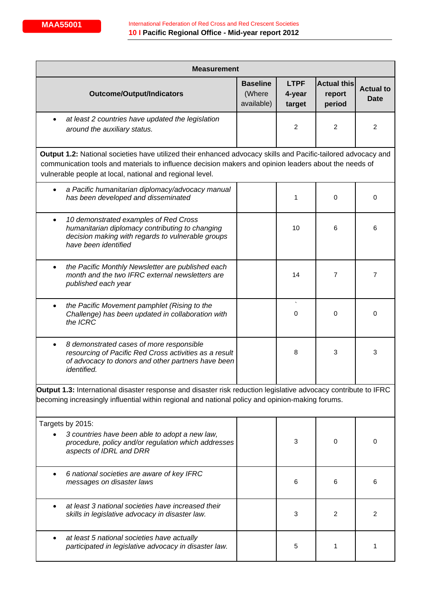| <b>Measurement</b> |                                                                                                                                                                                                                                                                                    |                                         |                                 |                                        |                          |  |
|--------------------|------------------------------------------------------------------------------------------------------------------------------------------------------------------------------------------------------------------------------------------------------------------------------------|-----------------------------------------|---------------------------------|----------------------------------------|--------------------------|--|
|                    | <b>Outcome/Output/Indicators</b>                                                                                                                                                                                                                                                   | <b>Baseline</b><br>(Where<br>available) | <b>LTPF</b><br>4-year<br>target | <b>Actual this</b><br>report<br>period | <b>Actual to</b><br>Date |  |
|                    | at least 2 countries have updated the legislation<br>around the auxiliary status.                                                                                                                                                                                                  |                                         | 2                               | 2                                      | 2                        |  |
|                    | Output 1.2: National societies have utilized their enhanced advocacy skills and Pacific-tailored advocacy and<br>communication tools and materials to influence decision makers and opinion leaders about the needs of<br>vulnerable people at local, national and regional level. |                                         |                                 |                                        |                          |  |
| $\bullet$          | a Pacific humanitarian diplomacy/advocacy manual<br>has been developed and disseminated                                                                                                                                                                                            |                                         | 1                               | 0                                      | 0                        |  |
| $\bullet$          | 10 demonstrated examples of Red Cross<br>humanitarian diplomacy contributing to changing<br>decision making with regards to vulnerable groups<br>have been identified                                                                                                              |                                         | 10                              | 6                                      | 6                        |  |
| $\bullet$          | the Pacific Monthly Newsletter are published each<br>month and the two IFRC external newsletters are<br>published each year                                                                                                                                                        |                                         | 14                              | 7                                      | 7                        |  |
|                    | the Pacific Movement pamphlet (Rising to the<br>Challenge) has been updated in collaboration with<br>the ICRC                                                                                                                                                                      |                                         | 0                               | 0                                      | 0                        |  |
| $\bullet$          | 8 demonstrated cases of more responsible<br>resourcing of Pacific Red Cross activities as a result<br>of advocacy to donors and other partners have been<br><i>identified.</i>                                                                                                     |                                         | 8                               | 3                                      | 3                        |  |
|                    | Output 1.3: International disaster response and disaster risk reduction legislative advocacy contribute to IFRC<br>becoming increasingly influential within regional and national policy and opinion-making forums.                                                                |                                         |                                 |                                        |                          |  |
|                    | Targets by 2015:<br>3 countries have been able to adopt a new law,<br>procedure, policy and/or regulation which addresses<br>aspects of IDRL and DRR                                                                                                                               |                                         | 3                               | 0                                      | 0                        |  |
|                    | 6 national societies are aware of key IFRC<br>messages on disaster laws                                                                                                                                                                                                            |                                         | 6                               | 6                                      | 6                        |  |
|                    | at least 3 national societies have increased their<br>skills in legislative advocacy in disaster law.                                                                                                                                                                              |                                         | 3                               | 2                                      | 2                        |  |
|                    | at least 5 national societies have actually<br>participated in legislative advocacy in disaster law.                                                                                                                                                                               |                                         | 5                               | 1                                      | 1                        |  |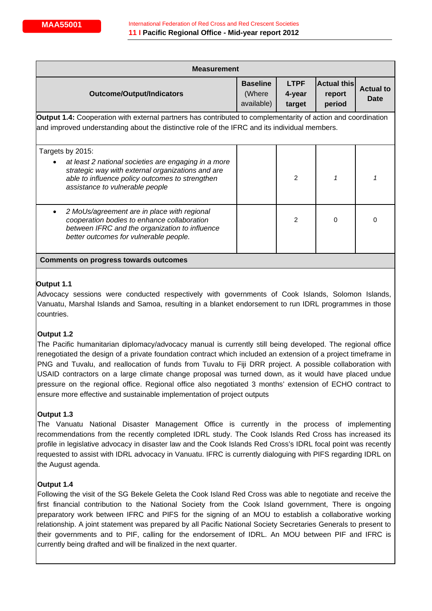| <b>Measurement</b>                                                                                                                                                                                                   |                                         |                                 |                                        |                          |  |
|----------------------------------------------------------------------------------------------------------------------------------------------------------------------------------------------------------------------|-----------------------------------------|---------------------------------|----------------------------------------|--------------------------|--|
| <b>Outcome/Output/Indicators</b>                                                                                                                                                                                     | <b>Baseline</b><br>(Where<br>available) | <b>LTPF</b><br>4-year<br>target | <b>Actual this</b><br>report<br>period | <b>Actual to</b><br>Date |  |
| <b>Output 1.4:</b> Cooperation with external partners has contributed to complementarity of action and coordination<br>and improved understanding about the distinctive role of the IFRC and its individual members. |                                         |                                 |                                        |                          |  |
| Targets by 2015:<br>at least 2 national societies are engaging in a more<br>strategic way with external organizations and are<br>able to influence policy outcomes to strengthen<br>assistance to vulnerable people  |                                         | $\overline{2}$                  | 1                                      |                          |  |
| 2 MoUs/agreement are in place with regional<br>cooperation bodies to enhance collaboration<br>between IFRC and the organization to influence<br>better outcomes for vulnerable people.                               |                                         | $\mathfrak{p}$                  | $\Omega$                               | 0                        |  |
| Comments on progress towards outcomes                                                                                                                                                                                |                                         |                                 |                                        |                          |  |

## **Output 1.1**

Advocacy sessions were conducted respectively with governments of Cook Islands, Solomon Islands, Vanuatu, Marshal Islands and Samoa, resulting in a blanket endorsement to run IDRL programmes in those countries.

## **Output 1.2**

The Pacific humanitarian diplomacy/advocacy manual is currently still being developed. The regional office renegotiated the design of a private foundation contract which included an extension of a project timeframe in PNG and Tuvalu, and reallocation of funds from Tuvalu to Fiji DRR project. A possible collaboration with USAID contractors on a large climate change proposal was turned down, as it would have placed undue pressure on the regional office. Regional office also negotiated 3 months' extension of ECHO contract to ensure more effective and sustainable implementation of project outputs

## **Output 1.3**

The Vanuatu National Disaster Management Office is currently in the process of implementing recommendations from the recently completed IDRL study. The Cook Islands Red Cross has increased its profile in legislative advocacy in disaster law and the Cook Islands Red Cross's IDRL focal point was recently requested to assist with IDRL advocacy in Vanuatu. IFRC is currently dialoguing with PIFS regarding IDRL on the August agenda.

## **Output 1.4**

Following the visit of the SG Bekele Geleta the Cook Island Red Cross was able to negotiate and receive the first financial contribution to the National Society from the Cook Island government, There is ongoing preparatory work between IFRC and PIFS for the signing of an MOU to establish a collaborative working relationship. A joint statement was prepared by all Pacific National Society Secretaries Generals to present to their governments and to PIF, calling for the endorsement of IDRL. An MOU between PIF and IFRC is currently being drafted and will be finalized in the next quarter.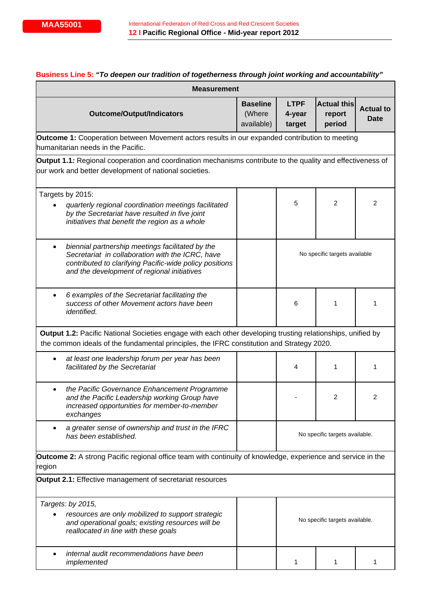|           | <b>Measurement</b>                                                                                                                                                                                             |                                         |                                 |                                        |                                 |
|-----------|----------------------------------------------------------------------------------------------------------------------------------------------------------------------------------------------------------------|-----------------------------------------|---------------------------------|----------------------------------------|---------------------------------|
|           | <b>Outcome/Output/Indicators</b>                                                                                                                                                                               | <b>Baseline</b><br>(Where<br>available) | <b>LTPF</b><br>4-year<br>target | <b>Actual this</b><br>report<br>period | <b>Actual to</b><br><b>Date</b> |
|           | <b>Outcome 1:</b> Cooperation between Movement actors results in our expanded contribution to meeting<br>humanitarian needs in the Pacific.                                                                    |                                         |                                 |                                        |                                 |
|           |                                                                                                                                                                                                                |                                         |                                 |                                        |                                 |
|           | Output 1.1: Regional cooperation and coordination mechanisms contribute to the quality and effectiveness of<br>our work and better development of national societies.                                          |                                         |                                 |                                        |                                 |
|           | Targets by 2015:                                                                                                                                                                                               |                                         |                                 |                                        |                                 |
|           | quarterly regional coordination meetings facilitated<br>by the Secretariat have resulted in five joint<br>initiatives that benefit the region as a whole                                                       |                                         | 5                               | $\overline{c}$                         | 2                               |
| $\bullet$ | biennial partnership meetings facilitated by the<br>Secretariat in collaboration with the ICRC, have<br>contributed to clarifying Pacific-wide policy positions<br>and the development of regional initiatives |                                         | No specific targets available   |                                        |                                 |
| $\bullet$ | 6 examples of the Secretariat facilitating the<br>success of other Movement actors have been<br>identified.                                                                                                    |                                         | 6                               | 1                                      | 1                               |
|           | Output 1.2: Pacific National Societies engage with each other developing trusting relationships, unified by<br>the common ideals of the fundamental principles, the IFRC constitution and Strategy 2020.       |                                         |                                 |                                        |                                 |
|           | at least one leadership forum per year has been<br>facilitated by the Secretariat                                                                                                                              |                                         | 4                               | 1                                      | 1                               |
|           | the Pacific Governance Enhancement Programme<br>and the Pacific Leadership working Group have<br>increased opportunities for member-to-member<br>exchanges                                                     |                                         |                                 | $\overline{2}$                         | 2                               |
|           | a greater sense of ownership and trust in the IFRC<br>has been established.                                                                                                                                    |                                         |                                 | No specific targets available.         |                                 |
| region    | <b>Outcome 2:</b> A strong Pacific regional office team with continuity of knowledge, experience and service in the                                                                                            |                                         |                                 |                                        |                                 |
|           | <b>Output 2.1:</b> Effective management of secretariat resources                                                                                                                                               |                                         |                                 |                                        |                                 |
|           | Targets: by 2015,                                                                                                                                                                                              |                                         |                                 |                                        |                                 |
|           | resources are only mobilized to support strategic<br>and operational goals; existing resources will be<br>reallocated in line with these goals                                                                 |                                         |                                 | No specific targets available.         |                                 |
|           | internal audit recommendations have been<br>implemented                                                                                                                                                        |                                         |                                 |                                        | 1                               |

## **Business Line 5:** *"To deepen our tradition of togetherness through joint working and accountability"*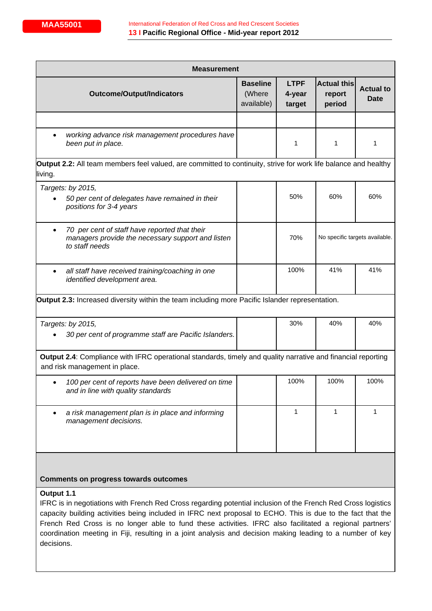| <b>Measurement</b>                                                                                                                                                                                                                                                                                                                                   |                                         |                                 |                                        |                          |  |
|------------------------------------------------------------------------------------------------------------------------------------------------------------------------------------------------------------------------------------------------------------------------------------------------------------------------------------------------------|-----------------------------------------|---------------------------------|----------------------------------------|--------------------------|--|
| <b>Outcome/Output/Indicators</b>                                                                                                                                                                                                                                                                                                                     | <b>Baseline</b><br>(Where<br>available) | <b>LTPF</b><br>4-year<br>target | <b>Actual this</b><br>report<br>period | <b>Actual to</b><br>Date |  |
|                                                                                                                                                                                                                                                                                                                                                      |                                         |                                 |                                        |                          |  |
| working advance risk management procedures have<br>been put in place.                                                                                                                                                                                                                                                                                |                                         | 1                               | 1                                      | 1                        |  |
| Output 2.2: All team members feel valued, are committed to continuity, strive for work life balance and healthy<br>living.                                                                                                                                                                                                                           |                                         |                                 |                                        |                          |  |
| Targets: by 2015,                                                                                                                                                                                                                                                                                                                                    |                                         |                                 |                                        |                          |  |
| 50 per cent of delegates have remained in their<br>positions for 3-4 years                                                                                                                                                                                                                                                                           |                                         | 50%                             | 60%                                    | 60%                      |  |
| 70 per cent of staff have reported that their<br>$\bullet$<br>managers provide the necessary support and listen<br>to staff needs                                                                                                                                                                                                                    |                                         | 70%                             | No specific targets available.         |                          |  |
| all staff have received training/coaching in one<br>identified development area.                                                                                                                                                                                                                                                                     |                                         | 100%                            | 41%                                    | 41%                      |  |
| Output 2.3: Increased diversity within the team including more Pacific Islander representation.                                                                                                                                                                                                                                                      |                                         |                                 |                                        |                          |  |
| Targets: by 2015,                                                                                                                                                                                                                                                                                                                                    |                                         | 30%                             | 40%                                    | 40%                      |  |
| 30 per cent of programme staff are Pacific Islanders.                                                                                                                                                                                                                                                                                                |                                         |                                 |                                        |                          |  |
| Output 2.4: Compliance with IFRC operational standards, timely and quality narrative and financial reporting<br>and risk management in place.                                                                                                                                                                                                        |                                         |                                 |                                        |                          |  |
| 100 per cent of reports have been delivered on time<br>and in line with quality standards                                                                                                                                                                                                                                                            |                                         | 100%                            | 100%                                   | 100%                     |  |
| a risk management plan is in place and informing<br>٠<br>management decisions.                                                                                                                                                                                                                                                                       |                                         | 1                               | 1                                      | 1                        |  |
| <b>Comments on progress towards outcomes</b>                                                                                                                                                                                                                                                                                                         |                                         |                                 |                                        |                          |  |
| Output 1.1<br>IFRC is in negotiations with French Red Cross regarding potential inclusion of the French Red Cross logistics<br>capacity building activities being included in IFRC next proposal to ECHO. This is due to the fact that the<br>Franch Red Cross is no longer able to fund these activities IERC also facilitated a regional partners' |                                         |                                 |                                        |                          |  |

French Red Cross is no longer able to fund these activities. IFRC also facilitated a regional partners' coordination meeting in Fiji, resulting in a joint analysis and decision making leading to a number of key decisions.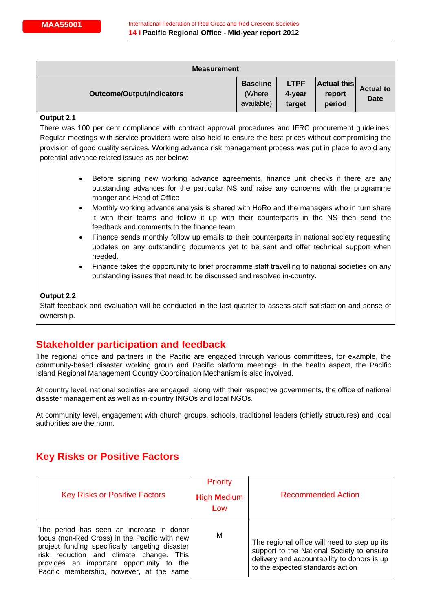| <b>Measurement</b>               |                                         |                                 |                                        |                          |  |  |  |
|----------------------------------|-----------------------------------------|---------------------------------|----------------------------------------|--------------------------|--|--|--|
| <b>Outcome/Output/Indicators</b> | <b>Baseline</b><br>(Where<br>available) | <b>LTPF</b><br>4-year<br>target | <b>Actual this</b><br>report<br>period | <b>Actual to</b><br>Date |  |  |  |

#### **Output 2.1**

There was 100 per cent compliance with contract approval procedures and IFRC procurement guidelines. Regular meetings with service providers were also held to ensure the best prices without compromising the provision of good quality services. Working advance risk management process was put in place to avoid any potential advance related issues as per below:

- Before signing new working advance agreements, finance unit checks if there are any outstanding advances for the particular NS and raise any concerns with the programme manger and Head of Office
- Monthly working advance analysis is shared with HoRo and the managers who in turn share it with their teams and follow it up with their counterparts in the NS then send the feedback and comments to the finance team.
- Finance sends monthly follow up emails to their counterparts in national society requesting updates on any outstanding documents yet to be sent and offer technical support when needed.
- Finance takes the opportunity to brief programme staff travelling to national societies on any outstanding issues that need to be discussed and resolved in-country.

#### **Output 2.2**

Staff feedback and evaluation will be conducted in the last quarter to assess staff satisfaction and sense of ownership.

## **Stakeholder participation and feedback**

The regional office and partners in the Pacific are engaged through various committees, for example, the community-based disaster working group and Pacific platform meetings. In the health aspect, the Pacific Island Regional Management Country Coordination Mechanism is also involved.

At country level, national societies are engaged, along with their respective governments, the office of national disaster management as well as in-country INGOs and local NGOs.

At community level, engagement with church groups, schools, traditional leaders (chiefly structures) and local authorities are the norm.

# **Key Risks or Positive Factors**

| <b>Key Risks or Positive Factors</b>                                                                                                                                                                                                                                                 | <b>Priority</b><br><b>High Medium</b><br>Low | <b>Recommended Action</b>                                                                                                                                                    |
|--------------------------------------------------------------------------------------------------------------------------------------------------------------------------------------------------------------------------------------------------------------------------------------|----------------------------------------------|------------------------------------------------------------------------------------------------------------------------------------------------------------------------------|
| The period has seen an increase in donor<br>focus (non-Red Cross) in the Pacific with new<br>project funding specifically targeting disaster<br>risk reduction and climate change.<br>This l<br>provides an important opportunity to the<br>Pacific membership, however, at the same | M                                            | The regional office will need to step up its<br>support to the National Society to ensure<br>delivery and accountability to donors is up<br>to the expected standards action |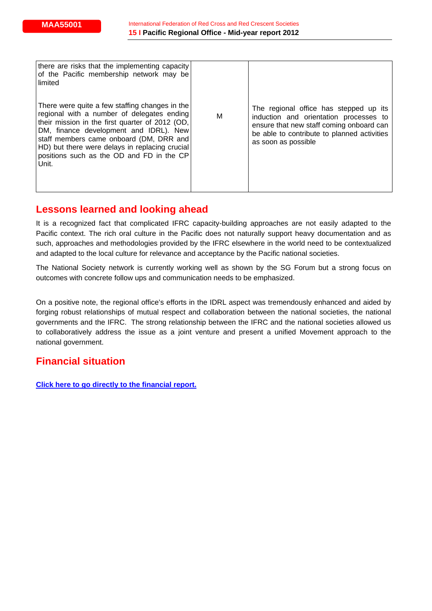| there are risks that the implementing capacity<br>of the Pacific membership network may be<br>limited                                                                                                                                                                                                                                        |   |                                                                                                                                                                                                    |
|----------------------------------------------------------------------------------------------------------------------------------------------------------------------------------------------------------------------------------------------------------------------------------------------------------------------------------------------|---|----------------------------------------------------------------------------------------------------------------------------------------------------------------------------------------------------|
| There were quite a few staffing changes in the<br>regional with a number of delegates ending<br>their mission in the first quarter of 2012 (OD,<br>DM, finance development and IDRL). New<br>staff members came onboard (DM, DRR and<br>HD) but there were delays in replacing crucial<br>positions such as the OD and FD in the CP<br>Unit. | M | The regional office has stepped up its<br>induction and orientation processes to<br>ensure that new staff coming onboard can<br>be able to contribute to planned activities<br>as soon as possible |

# **Lessons learned and looking ahead**

It is a recognized fact that complicated IFRC capacity-building approaches are not easily adapted to the Pacific context. The rich oral culture in the Pacific does not naturally support heavy documentation and as such, approaches and methodologies provided by the IFRC elsewhere in the world need to be contextualized and adapted to the local culture for relevance and acceptance by the Pacific national societies.

The National Society network is currently working well as shown by the SG Forum but a strong focus on outcomes with concrete follow ups and communication needs to be emphasized.

On a positive note, the regional office's efforts in the IDRL aspect was tremendously enhanced and aided by forging robust relationships of mutual respect and collaboration between the national societies, the national governments and the IFRC. The strong relationship between the IFRC and the national societies allowed us to collaboratively address the issue as a joint venture and present a unified Movement approach to the national government.

# **Financial situation**

**[Click here to go directly to the financial report.](http://www.ifrc.org/docs/LTPF%20Process/LTPF/2012/SP355LTPF_12myrf.pdf)**